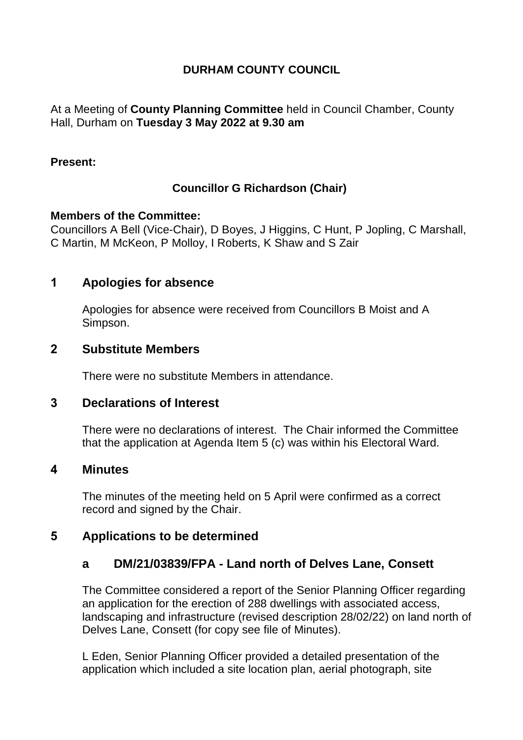## **DURHAM COUNTY COUNCIL**

At a Meeting of **County Planning Committee** held in Council Chamber, County Hall, Durham on **Tuesday 3 May 2022 at 9.30 am**

#### **Present:**

## **Councillor G Richardson (Chair)**

#### **Members of the Committee:**

Councillors A Bell (Vice-Chair), D Boyes, J Higgins, C Hunt, P Jopling, C Marshall, C Martin, M McKeon, P Molloy, I Roberts, K Shaw and S Zair

## **1 Apologies for absence**

Apologies for absence were received from Councillors B Moist and A Simpson.

### **2 Substitute Members**

There were no substitute Members in attendance.

### **3 Declarations of Interest**

There were no declarations of interest. The Chair informed the Committee that the application at Agenda Item 5 (c) was within his Electoral Ward.

### **4 Minutes**

The minutes of the meeting held on 5 April were confirmed as a correct record and signed by the Chair.

# **5 Applications to be determined**

# **a DM/21/03839/FPA - Land north of Delves Lane, Consett**

The Committee considered a report of the Senior Planning Officer regarding an application for the erection of 288 dwellings with associated access, landscaping and infrastructure (revised description 28/02/22) on land north of Delves Lane, Consett (for copy see file of Minutes).

L Eden, Senior Planning Officer provided a detailed presentation of the application which included a site location plan, aerial photograph, site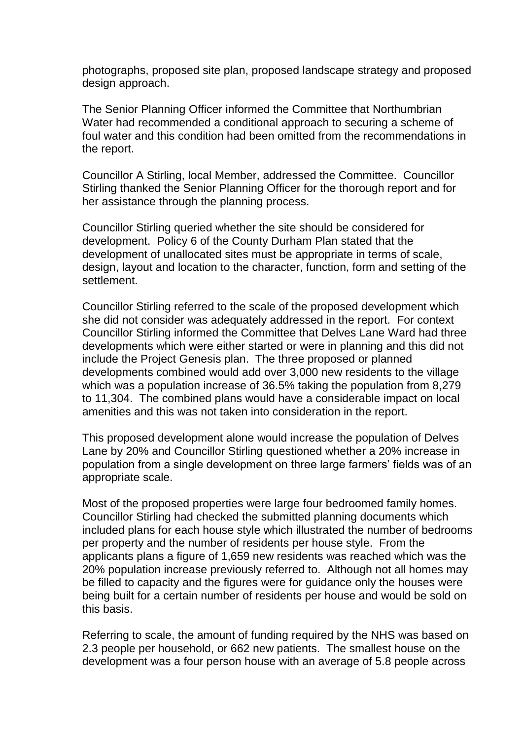photographs, proposed site plan, proposed landscape strategy and proposed design approach.

The Senior Planning Officer informed the Committee that Northumbrian Water had recommended a conditional approach to securing a scheme of foul water and this condition had been omitted from the recommendations in the report.

Councillor A Stirling, local Member, addressed the Committee. Councillor Stirling thanked the Senior Planning Officer for the thorough report and for her assistance through the planning process.

Councillor Stirling queried whether the site should be considered for development. Policy 6 of the County Durham Plan stated that the development of unallocated sites must be appropriate in terms of scale, design, layout and location to the character, function, form and setting of the settlement.

Councillor Stirling referred to the scale of the proposed development which she did not consider was adequately addressed in the report. For context Councillor Stirling informed the Committee that Delves Lane Ward had three developments which were either started or were in planning and this did not include the Project Genesis plan. The three proposed or planned developments combined would add over 3,000 new residents to the village which was a population increase of 36.5% taking the population from 8,279 to 11,304. The combined plans would have a considerable impact on local amenities and this was not taken into consideration in the report.

This proposed development alone would increase the population of Delves Lane by 20% and Councillor Stirling questioned whether a 20% increase in population from a single development on three large farmers' fields was of an appropriate scale.

Most of the proposed properties were large four bedroomed family homes. Councillor Stirling had checked the submitted planning documents which included plans for each house style which illustrated the number of bedrooms per property and the number of residents per house style. From the applicants plans a figure of 1,659 new residents was reached which was the 20% population increase previously referred to. Although not all homes may be filled to capacity and the figures were for guidance only the houses were being built for a certain number of residents per house and would be sold on this basis.

Referring to scale, the amount of funding required by the NHS was based on 2.3 people per household, or 662 new patients. The smallest house on the development was a four person house with an average of 5.8 people across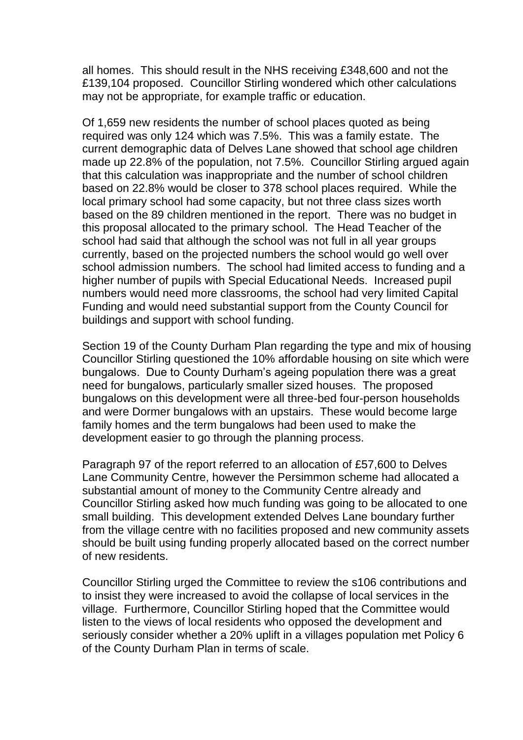all homes. This should result in the NHS receiving £348,600 and not the £139,104 proposed. Councillor Stirling wondered which other calculations may not be appropriate, for example traffic or education.

Of 1,659 new residents the number of school places quoted as being required was only 124 which was 7.5%. This was a family estate. The current demographic data of Delves Lane showed that school age children made up 22.8% of the population, not 7.5%. Councillor Stirling argued again that this calculation was inappropriate and the number of school children based on 22.8% would be closer to 378 school places required. While the local primary school had some capacity, but not three class sizes worth based on the 89 children mentioned in the report. There was no budget in this proposal allocated to the primary school. The Head Teacher of the school had said that although the school was not full in all year groups currently, based on the projected numbers the school would go well over school admission numbers. The school had limited access to funding and a higher number of pupils with Special Educational Needs. Increased pupil numbers would need more classrooms, the school had very limited Capital Funding and would need substantial support from the County Council for buildings and support with school funding.

Section 19 of the County Durham Plan regarding the type and mix of housing Councillor Stirling questioned the 10% affordable housing on site which were bungalows. Due to County Durham's ageing population there was a great need for bungalows, particularly smaller sized houses. The proposed bungalows on this development were all three-bed four-person households and were Dormer bungalows with an upstairs. These would become large family homes and the term bungalows had been used to make the development easier to go through the planning process.

Paragraph 97 of the report referred to an allocation of £57,600 to Delves Lane Community Centre, however the Persimmon scheme had allocated a substantial amount of money to the Community Centre already and Councillor Stirling asked how much funding was going to be allocated to one small building. This development extended Delves Lane boundary further from the village centre with no facilities proposed and new community assets should be built using funding properly allocated based on the correct number of new residents.

Councillor Stirling urged the Committee to review the s106 contributions and to insist they were increased to avoid the collapse of local services in the village. Furthermore, Councillor Stirling hoped that the Committee would listen to the views of local residents who opposed the development and seriously consider whether a 20% uplift in a villages population met Policy 6 of the County Durham Plan in terms of scale.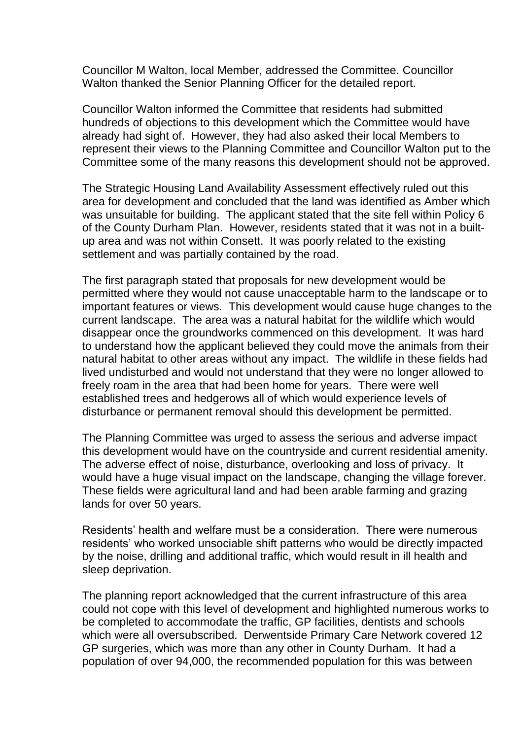Councillor M Walton, local Member, addressed the Committee. Councillor Walton thanked the Senior Planning Officer for the detailed report.

Councillor Walton informed the Committee that residents had submitted hundreds of objections to this development which the Committee would have already had sight of. However, they had also asked their local Members to represent their views to the Planning Committee and Councillor Walton put to the Committee some of the many reasons this development should not be approved.

The Strategic Housing Land Availability Assessment effectively ruled out this area for development and concluded that the land was identified as Amber which was unsuitable for building. The applicant stated that the site fell within Policy 6 of the County Durham Plan. However, residents stated that it was not in a builtup area and was not within Consett. It was poorly related to the existing settlement and was partially contained by the road.

The first paragraph stated that proposals for new development would be permitted where they would not cause unacceptable harm to the landscape or to important features or views. This development would cause huge changes to the current landscape. The area was a natural habitat for the wildlife which would disappear once the groundworks commenced on this development. It was hard to understand how the applicant believed they could move the animals from their natural habitat to other areas without any impact. The wildlife in these fields had lived undisturbed and would not understand that they were no longer allowed to freely roam in the area that had been home for years. There were well established trees and hedgerows all of which would experience levels of disturbance or permanent removal should this development be permitted.

The Planning Committee was urged to assess the serious and adverse impact this development would have on the countryside and current residential amenity. The adverse effect of noise, disturbance, overlooking and loss of privacy. It would have a huge visual impact on the landscape, changing the village forever. These fields were agricultural land and had been arable farming and grazing lands for over 50 years.

Residents' health and welfare must be a consideration. There were numerous residents' who worked unsociable shift patterns who would be directly impacted by the noise, drilling and additional traffic, which would result in ill health and sleep deprivation.

The planning report acknowledged that the current infrastructure of this area could not cope with this level of development and highlighted numerous works to be completed to accommodate the traffic, GP facilities, dentists and schools which were all oversubscribed. Derwentside Primary Care Network covered 12 GP surgeries, which was more than any other in County Durham. It had a population of over 94,000, the recommended population for this was between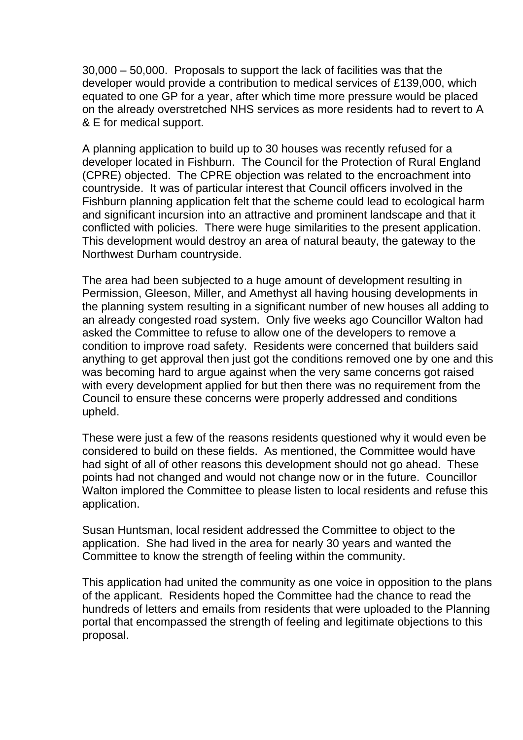30,000 – 50,000. Proposals to support the lack of facilities was that the developer would provide a contribution to medical services of £139,000, which equated to one GP for a year, after which time more pressure would be placed on the already overstretched NHS services as more residents had to revert to A & E for medical support.

A planning application to build up to 30 houses was recently refused for a developer located in Fishburn. The Council for the Protection of Rural England (CPRE) objected. The CPRE objection was related to the encroachment into countryside. It was of particular interest that Council officers involved in the Fishburn planning application felt that the scheme could lead to ecological harm and significant incursion into an attractive and prominent landscape and that it conflicted with policies. There were huge similarities to the present application. This development would destroy an area of natural beauty, the gateway to the Northwest Durham countryside.

The area had been subjected to a huge amount of development resulting in Permission, Gleeson, Miller, and Amethyst all having housing developments in the planning system resulting in a significant number of new houses all adding to an already congested road system. Only five weeks ago Councillor Walton had asked the Committee to refuse to allow one of the developers to remove a condition to improve road safety. Residents were concerned that builders said anything to get approval then just got the conditions removed one by one and this was becoming hard to argue against when the very same concerns got raised with every development applied for but then there was no requirement from the Council to ensure these concerns were properly addressed and conditions upheld.

These were just a few of the reasons residents questioned why it would even be considered to build on these fields. As mentioned, the Committee would have had sight of all of other reasons this development should not go ahead. These points had not changed and would not change now or in the future. Councillor Walton implored the Committee to please listen to local residents and refuse this application.

Susan Huntsman, local resident addressed the Committee to object to the application. She had lived in the area for nearly 30 years and wanted the Committee to know the strength of feeling within the community.

This application had united the community as one voice in opposition to the plans of the applicant. Residents hoped the Committee had the chance to read the hundreds of letters and emails from residents that were uploaded to the Planning portal that encompassed the strength of feeling and legitimate objections to this proposal.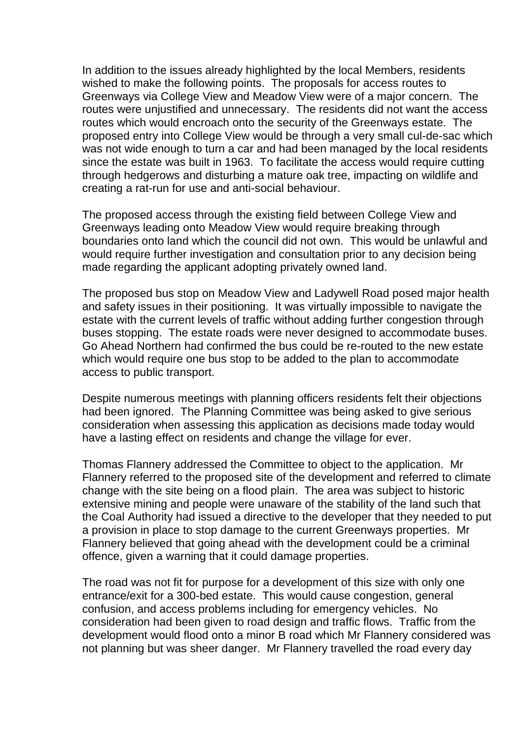In addition to the issues already highlighted by the local Members, residents wished to make the following points. The proposals for access routes to Greenways via College View and Meadow View were of a major concern. The routes were unjustified and unnecessary. The residents did not want the access routes which would encroach onto the security of the Greenways estate. The proposed entry into College View would be through a very small cul-de-sac which was not wide enough to turn a car and had been managed by the local residents since the estate was built in 1963. To facilitate the access would require cutting through hedgerows and disturbing a mature oak tree, impacting on wildlife and creating a rat-run for use and anti-social behaviour.

The proposed access through the existing field between College View and Greenways leading onto Meadow View would require breaking through boundaries onto land which the council did not own. This would be unlawful and would require further investigation and consultation prior to any decision being made regarding the applicant adopting privately owned land.

The proposed bus stop on Meadow View and Ladywell Road posed major health and safety issues in their positioning. It was virtually impossible to navigate the estate with the current levels of traffic without adding further congestion through buses stopping. The estate roads were never designed to accommodate buses. Go Ahead Northern had confirmed the bus could be re-routed to the new estate which would require one bus stop to be added to the plan to accommodate access to public transport.

Despite numerous meetings with planning officers residents felt their objections had been ignored. The Planning Committee was being asked to give serious consideration when assessing this application as decisions made today would have a lasting effect on residents and change the village for ever.

Thomas Flannery addressed the Committee to object to the application. Mr Flannery referred to the proposed site of the development and referred to climate change with the site being on a flood plain. The area was subject to historic extensive mining and people were unaware of the stability of the land such that the Coal Authority had issued a directive to the developer that they needed to put a provision in place to stop damage to the current Greenways properties. Mr Flannery believed that going ahead with the development could be a criminal offence, given a warning that it could damage properties.

The road was not fit for purpose for a development of this size with only one entrance/exit for a 300-bed estate. This would cause congestion, general confusion, and access problems including for emergency vehicles. No consideration had been given to road design and traffic flows. Traffic from the development would flood onto a minor B road which Mr Flannery considered was not planning but was sheer danger. Mr Flannery travelled the road every day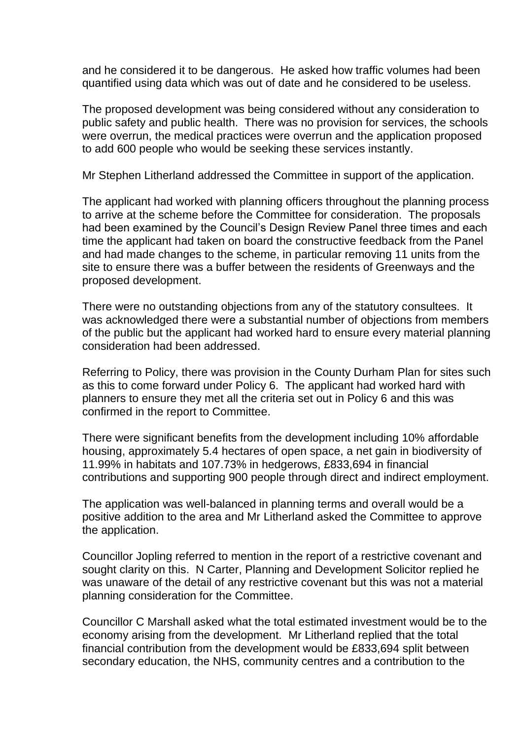and he considered it to be dangerous. He asked how traffic volumes had been quantified using data which was out of date and he considered to be useless.

The proposed development was being considered without any consideration to public safety and public health. There was no provision for services, the schools were overrun, the medical practices were overrun and the application proposed to add 600 people who would be seeking these services instantly.

Mr Stephen Litherland addressed the Committee in support of the application.

The applicant had worked with planning officers throughout the planning process to arrive at the scheme before the Committee for consideration. The proposals had been examined by the Council's Design Review Panel three times and each time the applicant had taken on board the constructive feedback from the Panel and had made changes to the scheme, in particular removing 11 units from the site to ensure there was a buffer between the residents of Greenways and the proposed development.

There were no outstanding objections from any of the statutory consultees. It was acknowledged there were a substantial number of objections from members of the public but the applicant had worked hard to ensure every material planning consideration had been addressed.

Referring to Policy, there was provision in the County Durham Plan for sites such as this to come forward under Policy 6. The applicant had worked hard with planners to ensure they met all the criteria set out in Policy 6 and this was confirmed in the report to Committee.

There were significant benefits from the development including 10% affordable housing, approximately 5.4 hectares of open space, a net gain in biodiversity of 11.99% in habitats and 107.73% in hedgerows, £833,694 in financial contributions and supporting 900 people through direct and indirect employment.

The application was well-balanced in planning terms and overall would be a positive addition to the area and Mr Litherland asked the Committee to approve the application.

Councillor Jopling referred to mention in the report of a restrictive covenant and sought clarity on this. N Carter, Planning and Development Solicitor replied he was unaware of the detail of any restrictive covenant but this was not a material planning consideration for the Committee.

Councillor C Marshall asked what the total estimated investment would be to the economy arising from the development. Mr Litherland replied that the total financial contribution from the development would be £833,694 split between secondary education, the NHS, community centres and a contribution to the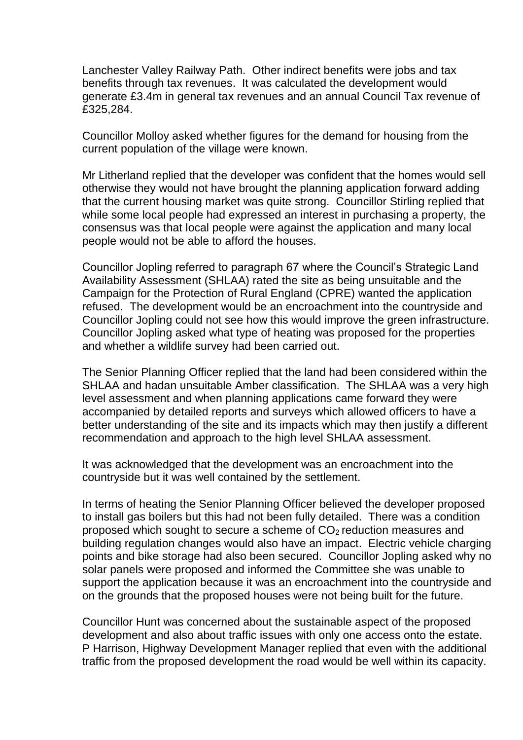Lanchester Valley Railway Path. Other indirect benefits were jobs and tax benefits through tax revenues. It was calculated the development would generate £3.4m in general tax revenues and an annual Council Tax revenue of £325,284.

Councillor Molloy asked whether figures for the demand for housing from the current population of the village were known.

Mr Litherland replied that the developer was confident that the homes would sell otherwise they would not have brought the planning application forward adding that the current housing market was quite strong. Councillor Stirling replied that while some local people had expressed an interest in purchasing a property, the consensus was that local people were against the application and many local people would not be able to afford the houses.

Councillor Jopling referred to paragraph 67 where the Council's Strategic Land Availability Assessment (SHLAA) rated the site as being unsuitable and the Campaign for the Protection of Rural England (CPRE) wanted the application refused. The development would be an encroachment into the countryside and Councillor Jopling could not see how this would improve the green infrastructure. Councillor Jopling asked what type of heating was proposed for the properties and whether a wildlife survey had been carried out.

The Senior Planning Officer replied that the land had been considered within the SHLAA and hadan unsuitable Amber classification. The SHLAA was a very high level assessment and when planning applications came forward they were accompanied by detailed reports and surveys which allowed officers to have a better understanding of the site and its impacts which may then justify a different recommendation and approach to the high level SHLAA assessment.

It was acknowledged that the development was an encroachment into the countryside but it was well contained by the settlement.

In terms of heating the Senior Planning Officer believed the developer proposed to install gas boilers but this had not been fully detailed. There was a condition proposed which sought to secure a scheme of  $CO<sub>2</sub>$  reduction measures and building regulation changes would also have an impact. Electric vehicle charging points and bike storage had also been secured. Councillor Jopling asked why no solar panels were proposed and informed the Committee she was unable to support the application because it was an encroachment into the countryside and on the grounds that the proposed houses were not being built for the future.

Councillor Hunt was concerned about the sustainable aspect of the proposed development and also about traffic issues with only one access onto the estate. P Harrison, Highway Development Manager replied that even with the additional traffic from the proposed development the road would be well within its capacity.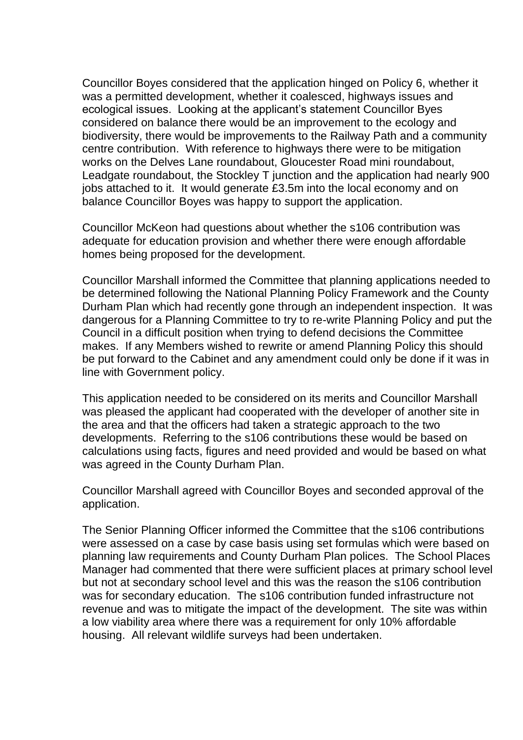Councillor Boyes considered that the application hinged on Policy 6, whether it was a permitted development, whether it coalesced, highways issues and ecological issues. Looking at the applicant's statement Councillor Byes considered on balance there would be an improvement to the ecology and biodiversity, there would be improvements to the Railway Path and a community centre contribution. With reference to highways there were to be mitigation works on the Delves Lane roundabout, Gloucester Road mini roundabout, Leadgate roundabout, the Stockley T junction and the application had nearly 900 jobs attached to it. It would generate £3.5m into the local economy and on balance Councillor Boyes was happy to support the application.

Councillor McKeon had questions about whether the s106 contribution was adequate for education provision and whether there were enough affordable homes being proposed for the development.

Councillor Marshall informed the Committee that planning applications needed to be determined following the National Planning Policy Framework and the County Durham Plan which had recently gone through an independent inspection. It was dangerous for a Planning Committee to try to re-write Planning Policy and put the Council in a difficult position when trying to defend decisions the Committee makes. If any Members wished to rewrite or amend Planning Policy this should be put forward to the Cabinet and any amendment could only be done if it was in line with Government policy.

This application needed to be considered on its merits and Councillor Marshall was pleased the applicant had cooperated with the developer of another site in the area and that the officers had taken a strategic approach to the two developments. Referring to the s106 contributions these would be based on calculations using facts, figures and need provided and would be based on what was agreed in the County Durham Plan.

Councillor Marshall agreed with Councillor Boyes and seconded approval of the application.

The Senior Planning Officer informed the Committee that the s106 contributions were assessed on a case by case basis using set formulas which were based on planning law requirements and County Durham Plan polices. The School Places Manager had commented that there were sufficient places at primary school level but not at secondary school level and this was the reason the s106 contribution was for secondary education. The s106 contribution funded infrastructure not revenue and was to mitigate the impact of the development. The site was within a low viability area where there was a requirement for only 10% affordable housing. All relevant wildlife surveys had been undertaken.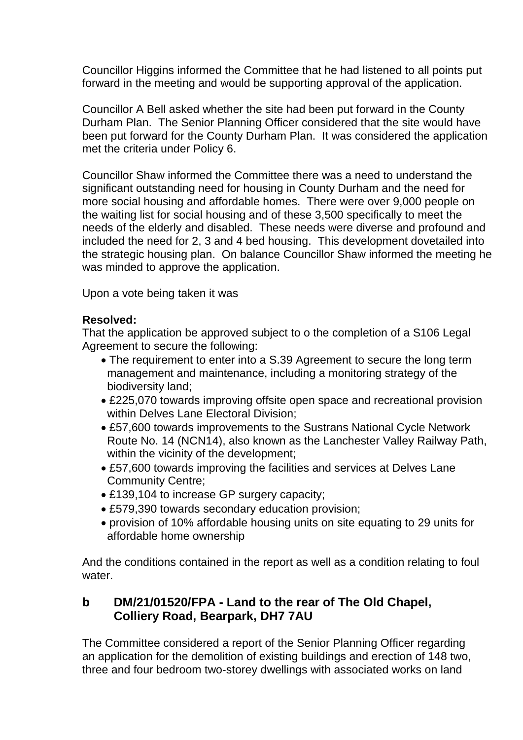Councillor Higgins informed the Committee that he had listened to all points put forward in the meeting and would be supporting approval of the application.

Councillor A Bell asked whether the site had been put forward in the County Durham Plan. The Senior Planning Officer considered that the site would have been put forward for the County Durham Plan. It was considered the application met the criteria under Policy 6.

Councillor Shaw informed the Committee there was a need to understand the significant outstanding need for housing in County Durham and the need for more social housing and affordable homes. There were over 9,000 people on the waiting list for social housing and of these 3,500 specifically to meet the needs of the elderly and disabled. These needs were diverse and profound and included the need for 2, 3 and 4 bed housing. This development dovetailed into the strategic housing plan. On balance Councillor Shaw informed the meeting he was minded to approve the application.

Upon a vote being taken it was

### **Resolved:**

That the application be approved subject to o the completion of a S106 Legal Agreement to secure the following:

- The requirement to enter into a S.39 Agreement to secure the long term management and maintenance, including a monitoring strategy of the biodiversity land;
- £225,070 towards improving offsite open space and recreational provision within Delves Lane Electoral Division;
- £57,600 towards improvements to the Sustrans National Cycle Network Route No. 14 (NCN14), also known as the Lanchester Valley Railway Path, within the vicinity of the development;
- £57,600 towards improving the facilities and services at Delves Lane Community Centre;
- £139,104 to increase GP surgery capacity;
- £579,390 towards secondary education provision;
- provision of 10% affordable housing units on site equating to 29 units for affordable home ownership

And the conditions contained in the report as well as a condition relating to foul water

# **b DM/21/01520/FPA - Land to the rear of The Old Chapel, Colliery Road, Bearpark, DH7 7AU**

The Committee considered a report of the Senior Planning Officer regarding an application for the demolition of existing buildings and erection of 148 two, three and four bedroom two-storey dwellings with associated works on land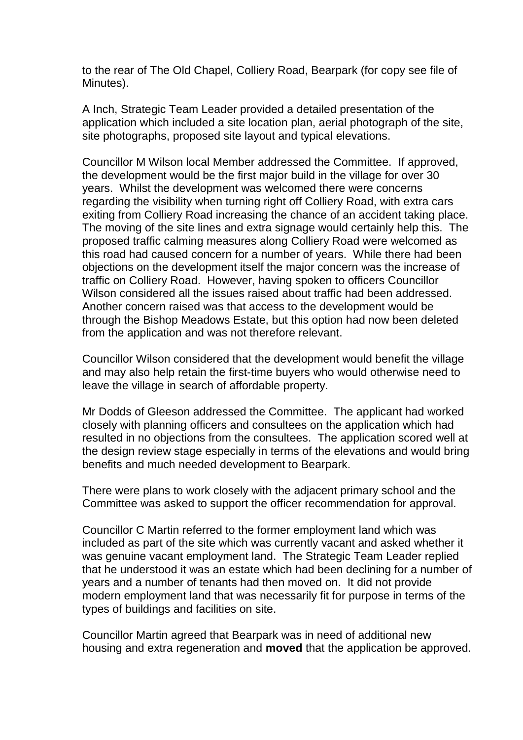to the rear of The Old Chapel, Colliery Road, Bearpark (for copy see file of Minutes).

A Inch, Strategic Team Leader provided a detailed presentation of the application which included a site location plan, aerial photograph of the site, site photographs, proposed site layout and typical elevations.

Councillor M Wilson local Member addressed the Committee. If approved, the development would be the first major build in the village for over 30 years. Whilst the development was welcomed there were concerns regarding the visibility when turning right off Colliery Road, with extra cars exiting from Colliery Road increasing the chance of an accident taking place. The moving of the site lines and extra signage would certainly help this. The proposed traffic calming measures along Colliery Road were welcomed as this road had caused concern for a number of years. While there had been objections on the development itself the major concern was the increase of traffic on Colliery Road. However, having spoken to officers Councillor Wilson considered all the issues raised about traffic had been addressed. Another concern raised was that access to the development would be through the Bishop Meadows Estate, but this option had now been deleted from the application and was not therefore relevant.

Councillor Wilson considered that the development would benefit the village and may also help retain the first-time buyers who would otherwise need to leave the village in search of affordable property.

Mr Dodds of Gleeson addressed the Committee. The applicant had worked closely with planning officers and consultees on the application which had resulted in no objections from the consultees. The application scored well at the design review stage especially in terms of the elevations and would bring benefits and much needed development to Bearpark.

There were plans to work closely with the adjacent primary school and the Committee was asked to support the officer recommendation for approval.

Councillor C Martin referred to the former employment land which was included as part of the site which was currently vacant and asked whether it was genuine vacant employment land. The Strategic Team Leader replied that he understood it was an estate which had been declining for a number of years and a number of tenants had then moved on. It did not provide modern employment land that was necessarily fit for purpose in terms of the types of buildings and facilities on site.

Councillor Martin agreed that Bearpark was in need of additional new housing and extra regeneration and **moved** that the application be approved.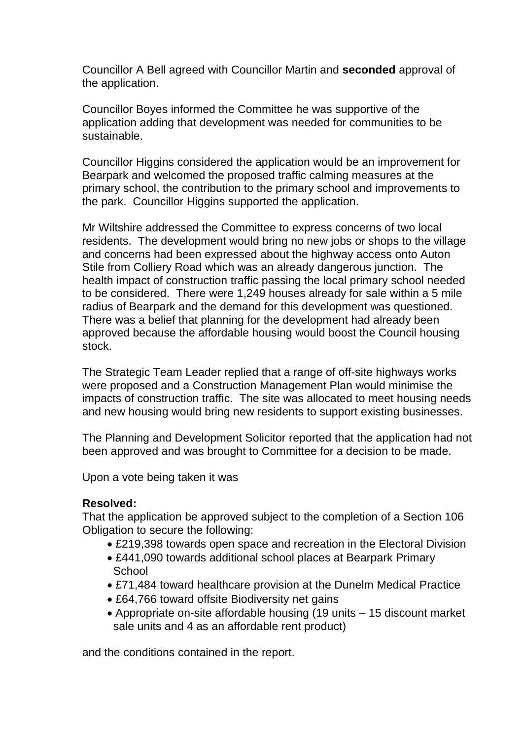Councillor A Bell agreed with Councillor Martin and **seconded** approval of the application.

Councillor Boyes informed the Committee he was supportive of the application adding that development was needed for communities to be sustainable.

Councillor Higgins considered the application would be an improvement for Bearpark and welcomed the proposed traffic calming measures at the primary school, the contribution to the primary school and improvements to the park. Councillor Higgins supported the application.

Mr Wiltshire addressed the Committee to express concerns of two local residents. The development would bring no new jobs or shops to the village and concerns had been expressed about the highway access onto Auton Stile from Colliery Road which was an already dangerous junction. The health impact of construction traffic passing the local primary school needed to be considered. There were 1,249 houses already for sale within a 5 mile radius of Bearpark and the demand for this development was questioned. There was a belief that planning for the development had already been approved because the affordable housing would boost the Council housing stock.

The Strategic Team Leader replied that a range of off-site highways works were proposed and a Construction Management Plan would minimise the impacts of construction traffic. The site was allocated to meet housing needs and new housing would bring new residents to support existing businesses.

The Planning and Development Solicitor reported that the application had not been approved and was brought to Committee for a decision to be made.

Upon a vote being taken it was

### **Resolved:**

That the application be approved subject to the completion of a Section 106 Obligation to secure the following:

- £219,398 towards open space and recreation in the Electoral Division
- £441,090 towards additional school places at Bearpark Primary **School**
- £71,484 toward healthcare provision at the Dunelm Medical Practice
- £64,766 toward offsite Biodiversity net gains
- Appropriate on-site affordable housing (19 units 15 discount market sale units and 4 as an affordable rent product)

and the conditions contained in the report.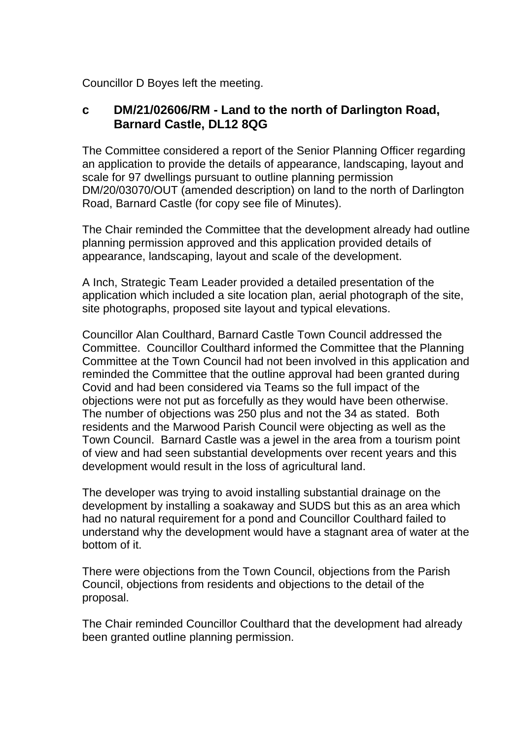Councillor D Boyes left the meeting.

# **c DM/21/02606/RM - Land to the north of Darlington Road, Barnard Castle, DL12 8QG**

The Committee considered a report of the Senior Planning Officer regarding an application to provide the details of appearance, landscaping, layout and scale for 97 dwellings pursuant to outline planning permission DM/20/03070/OUT (amended description) on land to the north of Darlington Road, Barnard Castle (for copy see file of Minutes).

The Chair reminded the Committee that the development already had outline planning permission approved and this application provided details of appearance, landscaping, layout and scale of the development.

A Inch, Strategic Team Leader provided a detailed presentation of the application which included a site location plan, aerial photograph of the site, site photographs, proposed site layout and typical elevations.

Councillor Alan Coulthard, Barnard Castle Town Council addressed the Committee. Councillor Coulthard informed the Committee that the Planning Committee at the Town Council had not been involved in this application and reminded the Committee that the outline approval had been granted during Covid and had been considered via Teams so the full impact of the objections were not put as forcefully as they would have been otherwise. The number of objections was 250 plus and not the 34 as stated. Both residents and the Marwood Parish Council were objecting as well as the Town Council. Barnard Castle was a jewel in the area from a tourism point of view and had seen substantial developments over recent years and this development would result in the loss of agricultural land.

The developer was trying to avoid installing substantial drainage on the development by installing a soakaway and SUDS but this as an area which had no natural requirement for a pond and Councillor Coulthard failed to understand why the development would have a stagnant area of water at the bottom of it.

There were objections from the Town Council, objections from the Parish Council, objections from residents and objections to the detail of the proposal.

The Chair reminded Councillor Coulthard that the development had already been granted outline planning permission.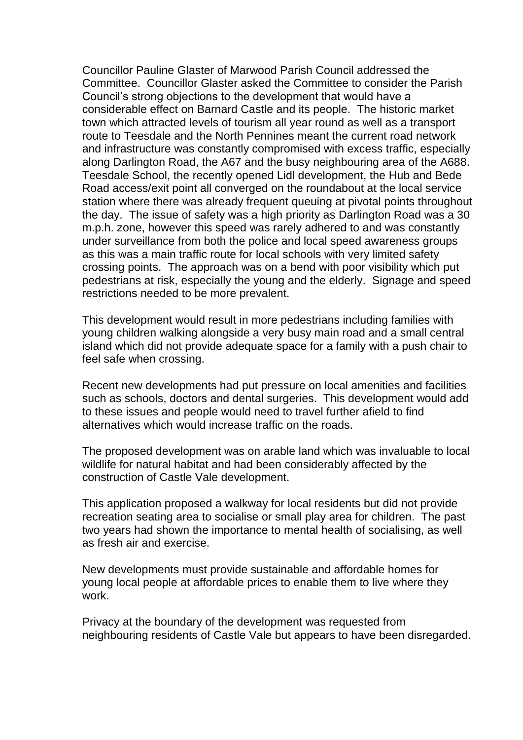Councillor Pauline Glaster of Marwood Parish Council addressed the Committee. Councillor Glaster asked the Committee to consider the Parish Council's strong objections to the development that would have a considerable effect on Barnard Castle and its people. The historic market town which attracted levels of tourism all year round as well as a transport route to Teesdale and the North Pennines meant the current road network and infrastructure was constantly compromised with excess traffic, especially along Darlington Road, the A67 and the busy neighbouring area of the A688. Teesdale School, the recently opened Lidl development, the Hub and Bede Road access/exit point all converged on the roundabout at the local service station where there was already frequent queuing at pivotal points throughout the day. The issue of safety was a high priority as Darlington Road was a 30 m.p.h. zone, however this speed was rarely adhered to and was constantly under surveillance from both the police and local speed awareness groups as this was a main traffic route for local schools with very limited safety crossing points. The approach was on a bend with poor visibility which put pedestrians at risk, especially the young and the elderly. Signage and speed restrictions needed to be more prevalent.

This development would result in more pedestrians including families with young children walking alongside a very busy main road and a small central island which did not provide adequate space for a family with a push chair to feel safe when crossing.

Recent new developments had put pressure on local amenities and facilities such as schools, doctors and dental surgeries. This development would add to these issues and people would need to travel further afield to find alternatives which would increase traffic on the roads.

The proposed development was on arable land which was invaluable to local wildlife for natural habitat and had been considerably affected by the construction of Castle Vale development.

This application proposed a walkway for local residents but did not provide recreation seating area to socialise or small play area for children. The past two years had shown the importance to mental health of socialising, as well as fresh air and exercise.

New developments must provide sustainable and affordable homes for young local people at affordable prices to enable them to live where they work.

Privacy at the boundary of the development was requested from neighbouring residents of Castle Vale but appears to have been disregarded.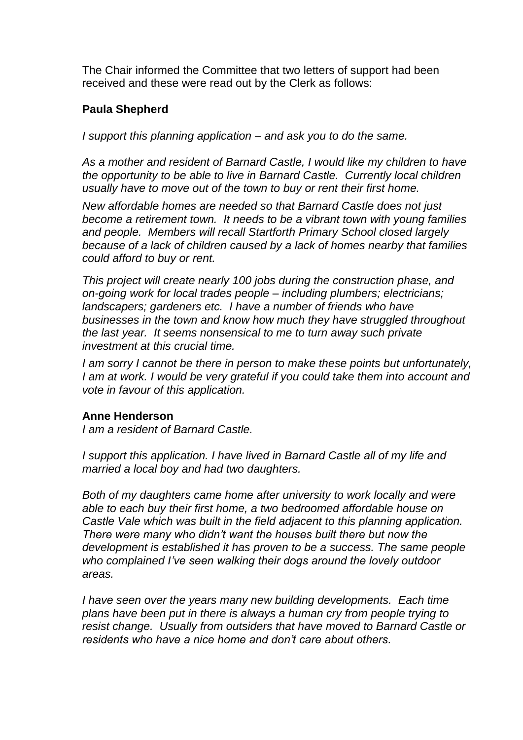The Chair informed the Committee that two letters of support had been received and these were read out by the Clerk as follows:

### **Paula Shepherd**

*I support this planning application – and ask you to do the same.*

*As a mother and resident of Barnard Castle, I would like my children to have the opportunity to be able to live in Barnard Castle. Currently local children usually have to move out of the town to buy or rent their first home.* 

*New affordable homes are needed so that Barnard Castle does not just become a retirement town. It needs to be a vibrant town with young families and people. Members will recall Startforth Primary School closed largely because of a lack of children caused by a lack of homes nearby that families could afford to buy or rent.*

*This project will create nearly 100 jobs during the construction phase, and on-going work for local trades people – including plumbers; electricians; landscapers; gardeners etc. I have a number of friends who have businesses in the town and know how much they have struggled throughout the last year. It seems nonsensical to me to turn away such private investment at this crucial time.* 

*I am sorry I cannot be there in person to make these points but unfortunately, I am at work. I would be very grateful if you could take them into account and vote in favour of this application.* 

#### **Anne Henderson**

*I am a resident of Barnard Castle.*

*I support this application. I have lived in Barnard Castle all of my life and married a local boy and had two daughters.* 

*Both of my daughters came home after university to work locally and were able to each buy their first home, a two bedroomed affordable house on Castle Vale which was built in the field adjacent to this planning application. There were many who didn't want the houses built there but now the development is established it has proven to be a success. The same people who complained I've seen walking their dogs around the lovely outdoor areas.* 

*I have seen over the years many new building developments. Each time plans have been put in there is always a human cry from people trying to resist change. Usually from outsiders that have moved to Barnard Castle or residents who have a nice home and don't care about others.*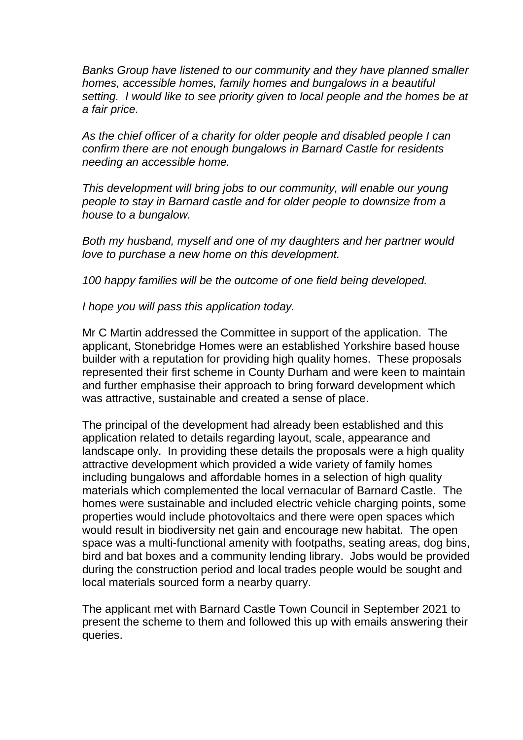*Banks Group have listened to our community and they have planned smaller homes, accessible homes, family homes and bungalows in a beautiful setting. I would like to see priority given to local people and the homes be at a fair price.* 

*As the chief officer of a charity for older people and disabled people I can confirm there are not enough bungalows in Barnard Castle for residents needing an accessible home.* 

*This development will bring jobs to our community, will enable our young people to stay in Barnard castle and for older people to downsize from a house to a bungalow.* 

*Both my husband, myself and one of my daughters and her partner would love to purchase a new home on this development.* 

*100 happy families will be the outcome of one field being developed.*

*I hope you will pass this application today.* 

Mr C Martin addressed the Committee in support of the application. The applicant, Stonebridge Homes were an established Yorkshire based house builder with a reputation for providing high quality homes. These proposals represented their first scheme in County Durham and were keen to maintain and further emphasise their approach to bring forward development which was attractive, sustainable and created a sense of place.

The principal of the development had already been established and this application related to details regarding layout, scale, appearance and landscape only. In providing these details the proposals were a high quality attractive development which provided a wide variety of family homes including bungalows and affordable homes in a selection of high quality materials which complemented the local vernacular of Barnard Castle. The homes were sustainable and included electric vehicle charging points, some properties would include photovoltaics and there were open spaces which would result in biodiversity net gain and encourage new habitat. The open space was a multi-functional amenity with footpaths, seating areas, dog bins, bird and bat boxes and a community lending library. Jobs would be provided during the construction period and local trades people would be sought and local materials sourced form a nearby quarry.

The applicant met with Barnard Castle Town Council in September 2021 to present the scheme to them and followed this up with emails answering their queries.